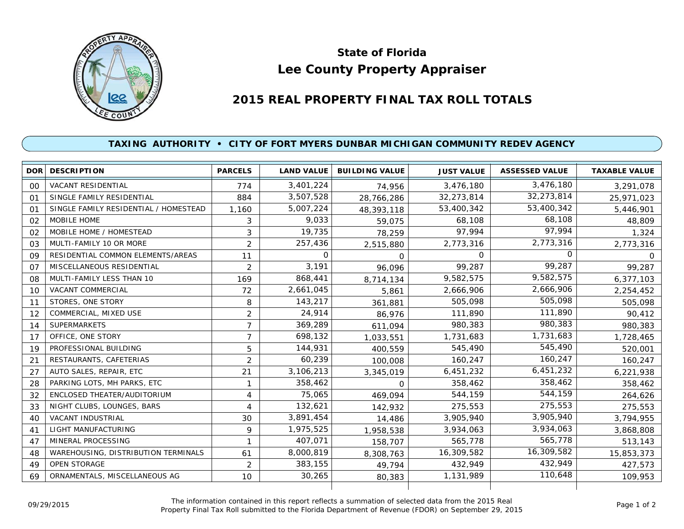

## **Lee County Property Appraiser State of Florida**

## **2015 REAL PROPERTY FINAL TAX ROLL TOTALS**

## **TAXING AUTHORITY • CITY OF FORT MYERS DUNBAR MICHIGAN COMMUNITY REDEV AGENCY**

|    | <b>DOR DESCRIPTION</b>                | <b>PARCELS</b> | <b>LAND VALUE</b> | <b>BUILDING VALUE</b> | <b>JUST VALUE</b> | <b>ASSESSED VALUE</b> | <b>TAXABLE VALUE</b> |
|----|---------------------------------------|----------------|-------------------|-----------------------|-------------------|-----------------------|----------------------|
| 00 | VACANT RESIDENTIAL                    | 774            | 3,401,224         | 74,956                | 3,476,180         | 3,476,180             | 3,291,078            |
| 01 | SINGLE FAMILY RESIDENTIAL             | 884            | 3,507,528         | 28,766,286            | 32,273,814        | 32,273,814            | 25,971,023           |
| 01 | SINGLE FAMILY RESIDENTIAL / HOMESTEAD | 1,160          | 5,007,224         | 48,393,118            | 53,400,342        | 53,400,342            | 5,446,901            |
| 02 | <b>MOBILE HOME</b>                    | 3              | 9,033             | 59,075                | 68,108            | 68,108                | 48,809               |
| 02 | MOBILE HOME / HOMESTEAD               | 3              | 19,735            | 78,259                | 97.994            | 97,994                | 1,324                |
| 03 | MULTI-FAMILY 10 OR MORE               | $\overline{2}$ | 257,436           | 2,515,880             | 2,773,316         | 2,773,316             | 2,773,316            |
| 09 | RESIDENTIAL COMMON ELEMENTS/AREAS     | 11             | $\Omega$          | $\Omega$              | $\Omega$          | n                     | $\Omega$             |
| 07 | MISCELLANEOUS RESIDENTIAL             | $\overline{2}$ | 3,191             | 96,096                | 99,287            | 99,287                | 99,287               |
| 08 | MULTI-FAMILY LESS THAN 10             | 169            | 868,441           | 8,714,134             | 9,582,575         | 9,582,575             | 6,377,103            |
| 10 | VACANT COMMERCIAL                     | 72             | 2,661,045         | 5,861                 | 2,666,906         | 2,666,906             | 2,254,452            |
| 11 | STORES, ONE STORY                     | 8              | 143,217           | 361,881               | 505,098           | 505,098               | 505,098              |
| 12 | COMMERCIAL, MIXED USE                 | $\overline{2}$ | 24,914            | 86,976                | 111,890           | 111,890               | 90,412               |
| 14 | <b>SUPERMARKETS</b>                   | 7              | 369,289           | 611,094               | 980,383           | 980,383               | 980,383              |
| 17 | OFFICE, ONE STORY                     | 7              | 698,132           | 1,033,551             | 1,731,683         | 1,731,683             | 1,728,465            |
| 19 | PROFESSIONAL BUILDING                 | 5              | 144,931           | 400.559               | 545,490           | 545,490               | 520,001              |
| 21 | RESTAURANTS, CAFETERIAS               | $\overline{2}$ | 60,239            | 100,008               | 160,247           | 160,247               | 160,247              |
| 27 | AUTO SALES, REPAIR, ETC               | 21             | 3,106,213         | 3,345,019             | 6,451,232         | 6,451,232             | 6,221,938            |
| 28 | PARKING LOTS, MH PARKS, ETC           | 1              | 358,462           | $\Omega$              | 358,462           | 358,462               | 358,462              |
| 32 | ENCLOSED THEATER/AUDITORIUM           | 4              | 75,065            | 469,094               | 544,159           | 544,159               | 264,626              |
| 33 | NIGHT CLUBS, LOUNGES, BARS            | 4              | 132,621           | 142,932               | 275,553           | 275,553               | 275,553              |
| 40 | <b>VACANT INDUSTRIAL</b>              | 30             | 3,891,454         | 14,486                | 3,905,940         | 3,905,940             | 3,794,955            |
| 41 | <b>LIGHT MANUFACTURING</b>            | 9              | 1,975,525         | 1,958,538             | 3,934,063         | 3,934,063             | 3,868,808            |
| 47 | MINERAL PROCESSING                    |                | 407,071           | 158,707               | 565,778           | 565,778               | 513,143              |
| 48 | WAREHOUSING, DISTRIBUTION TERMINALS   | 61             | 8,000,819         | 8,308,763             | 16,309,582        | 16,309,582            | 15,853,373           |
| 49 | <b>OPEN STORAGE</b>                   | $\overline{2}$ | 383,155           | 49.794                | 432,949           | 432,949               | 427,573              |
| 69 | ORNAMENTALS, MISCELLANEOUS AG         | 10             | 30,265            | 80,383                | 1,131,989         | 110,648               | 109,953              |
|    |                                       |                |                   |                       |                   |                       |                      |

The information contained in this report reflects a summation of selected data from the 2015 Real Ine information contained in this report reflects a summation of selected data from the 2015 Real<br>Property Final Tax Roll submitted to the Florida Department of Revenue (FDOR) on September 29, 2015